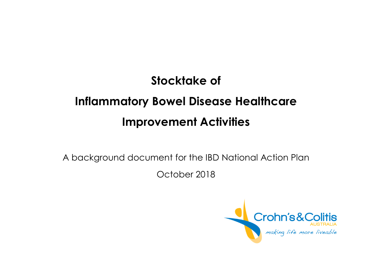# **Stocktake of Inflammatory Bowel Disease Healthcare Improvement Activities**

A background document for the IBD National Action Plan

October 2018

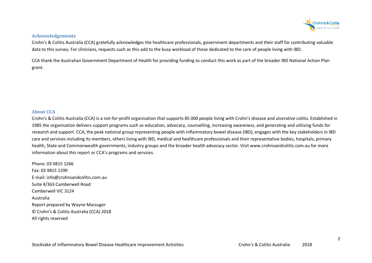

#### **Acknowledgements**

Crohn's & Colitis Australia (CCA) gratefully acknowledges the healthcare professionals, government departments and their staff for contributing valuable data to this survey. For clinicians, requests such as this add to the busy workload of those dedicated to the care of people living with IBD.

CCA thank the Australian Government Department of Health for providing funding to conduct this work as part of the broader IBD National Action Plan grant.

#### **About CCA**

Crohn's & Colitis Australia (CCA) is a not-for-profit organisation that supports 85 000 people living with Crohn's disease and ulcerative colitis. Established in 1985 the organisation delivers support programs such as education, advocacy, counselling, increasing awareness, and generating and utilising funds for research and support. CCA, the peak national group representing people with inflammatory bowel disease (IBD), engages with the key stakeholders in IBD care and services including its members, others living with IBD, medical and healthcare professionals and their representative bodies, hospitals, primaryhealth, State and Commonwealth governments, industry groups and the broader health advocacy sector. Visit www.crohnsandcolitis.com.au for more information about this report or CCA's programs and services.

Phone: 03 9815 1266 Fax: 03 9815 1299 E-mail: info@crohnsandcolitis.com.au Suite 4/363 Camberwell Road Camberwell VIC 3124 Australia Report prepared by Wayne Massuger © Crohn's & Colitis Australia (CCA) 2018 All rights reserved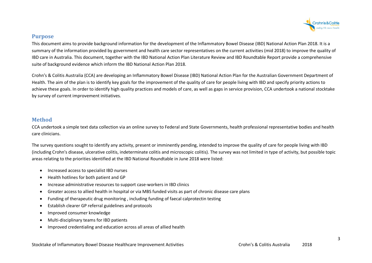

# **Purpose**

This document aims to provide background information for the development of the Inflammatory Bowel Disease (IBD) National Action Plan 2018. It is a summary of the information provided by government and health care sector representatives on the current activities (mid 2018) to improve the quality of IBD care in Australia. This document, together with the IBD National Action Plan Literature Review and IBD Roundtable Report provide a comprehensive suite of background evidence which inform the IBD National Action Plan 2018.

Crohn's & Colitis Australia (CCA) are developing an Inflammatory Bowel Disease (IBD) National Action Plan for the Australian Government Department of Health. The aim of the plan is to identify key goals for the improvement of the quality of care for people living with IBD and specify priority actions to achieve these goals. In order to identify high quality practices and models of care, as well as gaps in service provision, CCA undertook a national stocktake by survey of current improvement initiatives.

# **Method**

CCA undertook a simple text data collection via an online survey to Federal and State Governments, health professional representative bodies and health care clinicians.

The survey questions sought to identify any activity, present or imminently pending, intended to improve the quality of care for people living with IBD (including Crohn's disease, ulcerative colitis, indeterminate colitis and microscopic colitis). The survey was not limited in type of activity, but possible topic areas relating to the priorities identified at the IBD National Roundtable in June 2018 were listed:

- $\bullet$ Increased access to specialist IBD nurses
- •Health hotlines for both patient and GP
- •Increase administrative resources to support case-workers in IBD clinics
- •Greater access to allied health in hospital or via MBS funded visits as part of chronic disease care plans
- •Funding of therapeutic drug monitoring , including funding of faecal calprotectin testing
- •Establish clearer GP referral guidelines and protocols
- •Improved consumer knowledge
- •Multi-disciplinary teams for IBD patients
- •Improved credentialing and education across all areas of allied health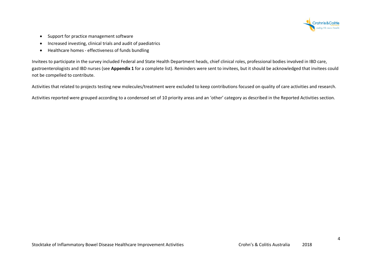

- •Support for practice management software
- •Increased investing, clinical trials and audit of paediatrics
- •Healthcare homes - effectiveness of funds bundling

Invitees to participate in the survey included Federal and State Health Department heads, chief clinical roles, professional bodies involved in IBD care,gastroenterologists and IBD nurses (see **Appendix 1** for a complete list). Reminders were sent to invitees, but it should be acknowledged that invitees could not be compelled to contribute.

Activities that related to projects testing new molecules/treatment were excluded to keep contributions focused on quality of care activities and research.

Activities reported were grouped according to a condensed set of 10 priority areas and an 'other' category as described in the Reported Activities section.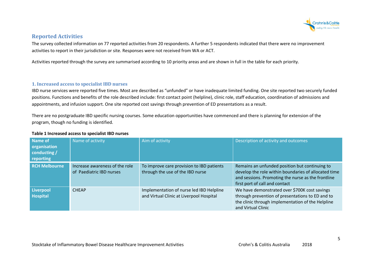

# **Reported Activities**

The survey collected information on 77 reported activities from 20 respondents. A further 5 respondents indicated that there were no improvement activities to report in their jurisdiction or site. Responses were not received from WA or ACT.

Activities reported through the survey are summarised according to 10 priority areas and are shown in full in the table for each priority.

#### **1. Increased access to specialist IBD nurses**

IBD nurse services were reported five times. Most are described as "unfunded" or have inadequate limited funding. One site reported two securely funded positions. Functions and benefits of the role described include: first contact point (helpline), clinic role, staff education, coordination of admissions and appointments, and infusion support. One site reported cost savings through prevention of ED presentations as a result.

There are no postgraduate IBD specific nursing courses. Some education opportunities have commenced and there is planning for extension of the program, though no funding is identified.

#### **Table 1 Increased access to specialist IBD nurses**

| Name of<br>organisation<br>conducting /<br>reporting | Name of activity                                           | Aim of activity                                                                      | Description of activity and outcomes                                                                                                                                                           |
|------------------------------------------------------|------------------------------------------------------------|--------------------------------------------------------------------------------------|------------------------------------------------------------------------------------------------------------------------------------------------------------------------------------------------|
| <b>RCH Melbourne</b>                                 | Increase awareness of the role<br>of Paediatric IBD nurses | To improve care provision to IBD patients<br>through the use of the IBD nurse        | Remains an unfunded position but continuing to<br>develop the role within boundaries of allocated time<br>and sessions. Promoting the nurse as the frontline<br>first port of call and contact |
| <b>Liverpool</b><br><b>Hospital</b>                  | <b>CHEAP</b>                                               | Implementation of nurse led IBD Helpline<br>and Virtual Clinic at Liverpool Hospital | We have demonstrated over \$700K cost savings<br>through prevention of presentations to ED and to<br>the clinic through implementation of the Helpline<br>and Virtual Clinic                   |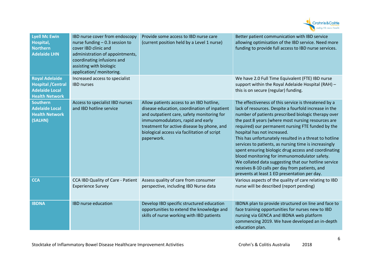

| <b>Lyell Mc Ewin</b><br>Hospital,<br><b>Northern</b><br><b>Adelaide LHN</b>                          | IBD nurse cover from endoscopy<br>nurse funding $-0.3$ session to<br>cover IBD clinic and<br>administration of appointments,<br>coordinating infusions and<br>assisting with biologic<br>application/ monitoring. | Provide some access to IBD nurse care<br>(current position held by a Level 1 nurse)                                                                                                                                                                                                     | Better patient communication with IBD service<br>allowing optimisation of the IBD service. Need more<br>funding to provide full access to IBD nurse services.                                                                                                                                                                                                                                                                                                                                                                                                                                                                                                                                       |
|------------------------------------------------------------------------------------------------------|-------------------------------------------------------------------------------------------------------------------------------------------------------------------------------------------------------------------|-----------------------------------------------------------------------------------------------------------------------------------------------------------------------------------------------------------------------------------------------------------------------------------------|-----------------------------------------------------------------------------------------------------------------------------------------------------------------------------------------------------------------------------------------------------------------------------------------------------------------------------------------------------------------------------------------------------------------------------------------------------------------------------------------------------------------------------------------------------------------------------------------------------------------------------------------------------------------------------------------------------|
| <b>Royal Adelaide</b><br><b>Hospital / Central</b><br><b>Adelaide Local</b><br><b>Health Network</b> | Increased access to specialist<br><b>IBD</b> nurses                                                                                                                                                               |                                                                                                                                                                                                                                                                                         | We have 2.0 Full Time Equivalent (FTE) IBD nurse<br>support within the Royal Adelaide Hospital (RAH) -<br>this is on secure (regular) funding.                                                                                                                                                                                                                                                                                                                                                                                                                                                                                                                                                      |
| <b>Southern</b><br><b>Adelaide Local</b><br><b>Health Network</b><br>(SALHN)                         | Access to specialist IBD nurses<br>and IBD hotline service                                                                                                                                                        | Allow patients access to an IBD hotline,<br>disease education, coordination of inpatient<br>and outpatient care, safety monitoring for<br>immunomodulators, rapid and early<br>treatment for active disease by phone, and<br>biological access via facilitation of script<br>paperwork. | The effectiveness of this service is threatened by a<br>lack of resources. Despite a fourfold increase in the<br>number of patients prescribed biologic therapy over<br>the past 8 years (where most nursing resources are<br>required) our permanent nursing FTE funded by the<br>hospital has not increased.<br>This has unfortunately resulted in a threat to hotline<br>services to patients, as nursing time is increasingly<br>spent ensuring biologic drug access and coordinating<br>blood monitoring for immunomodulator safety.<br>We collated data suggesting that our hotline service<br>receives 8-10 calls per day from patients, and<br>prevents at least 1 ED presentation per day. |
| <b>CCA</b>                                                                                           | CCA IBD Quality of Care - Patient<br><b>Experience Survey</b>                                                                                                                                                     | Assess quality of care from consumer<br>perspective, including IBD Nurse data                                                                                                                                                                                                           | Various aspects of the quality of care relating to IBD<br>nurse will be described (report pending)                                                                                                                                                                                                                                                                                                                                                                                                                                                                                                                                                                                                  |
| <b>IBDNA</b>                                                                                         | <b>IBD</b> nurse education                                                                                                                                                                                        | Develop IBD specific structured education<br>opportunities to extend the knowledge and<br>skills of nurse working with IBD patients                                                                                                                                                     | IBDNA plan to provide structured on line and face to<br>face training opportunities for nurses new to IBD<br>nursing via GENCA and IBDNA web platform<br>commencing 2019. We have developed an in-depth<br>education plan.                                                                                                                                                                                                                                                                                                                                                                                                                                                                          |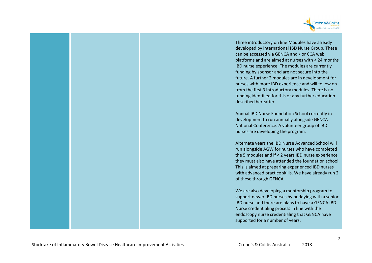

Three introductory on line Modules have already developed by international IBD Nurse Group. These can be accessed via GENCA and / or CCA web platforms and are aimed at nurses with < 24 months IBD nurse experience. The modules are currently funding by sponsor and are not secure into the future. A further 2 modules are in development for nurses with more IBD experience and will follow on from the first 3 introductory modules. There is no funding identified for this or any further education described hereafter.

Annual IBD Nurse Foundation School currently in development to run annually alongside GENCA National Conference. A volunteer group of IBD nurses are developing the program.

Alternate years the IBD Nurse Advanced School will run alongside AGW for nurses who have completed the 5 modules and if < 2 years IBD nurse experience they must also have attended the foundation school.This is aimed at preparing experienced IBD nurses with advanced practice skills. We have already run 2 of these through GENCA.

We are also developing a mentorship program to support newer IBD nurses by buddying with a senior IBD nurse and there are plans to have a GENCA IBD Nurse credentialing process in line with the endoscopy nurse credentialing that GENCA have supported for a number of years.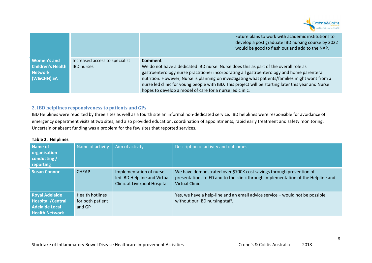

|                                                                         |                                                     |                                                                                                                                                                                                                                                                  | Future plans to work with academic institutions to<br>develop a post graduate IBD nursing course by 2022<br>would be good to flesh out and add to the NAP.                                             |
|-------------------------------------------------------------------------|-----------------------------------------------------|------------------------------------------------------------------------------------------------------------------------------------------------------------------------------------------------------------------------------------------------------------------|--------------------------------------------------------------------------------------------------------------------------------------------------------------------------------------------------------|
| <b>Women's and</b><br><b>Children's Health</b><br>Network<br>(W&CHN) SA | Increased access to specialist<br><b>IBD</b> nurses | <b>Comment</b><br>We do not have a dedicated IBD nurse. Nurse does this as part of the overall role as<br>gastroenterology nurse practitioner incorporating all gastroenterology and home parenteral<br>hopes to develop a model of care for a nurse led clinic. | nutrition. However, Nurse is planning on investigating what patients/families might want from a<br>nurse led clinic for young people with IBD. This project will be starting later this year and Nurse |

## **2. IBD helplines responsiveness to patients and GPs**

 IBD Helplines were reported by three sites as well as a fourth site an informal non-dedicated service. IBD helplines were responsible for avoidance of emergency department visits at two sites, and also provided education, coordination of appointments, rapid early treatment and safety monitoring. Uncertain or absent funding was a problem for the few sites that reported services.

#### **Table 2. Helplines**

| Name of<br>organisation<br>conducting /<br>reporting                                          | Name of activity                                     | Aim of activity                                                                         | Description of activity and outcomes                                                                                                                                             |
|-----------------------------------------------------------------------------------------------|------------------------------------------------------|-----------------------------------------------------------------------------------------|----------------------------------------------------------------------------------------------------------------------------------------------------------------------------------|
| <b>Susan Connor</b>                                                                           | <b>CHEAP</b>                                         | Implementation of nurse<br>led IBD Helpline and Virtual<br>Clinic at Liverpool Hospital | We have demonstrated over \$700K cost savings through prevention of<br>presentations to ED and to the clinic through implementation of the Helpline and<br><b>Virtual Clinic</b> |
| <b>Royal Adelaide</b><br><b>Hospital / Central</b><br>Adelaide Local<br><b>Health Network</b> | <b>Health hotlines</b><br>for both patient<br>and GP |                                                                                         | Yes, we have a help-line and an email advice service – would not be possible<br>without our IBD nursing staff.                                                                   |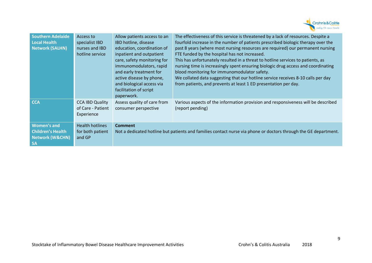

| <b>Southern Adelaide</b><br>Local Health<br><b>Network (SALHN)</b>                 | Access to<br>specialist IBD<br>nurses and IBD<br>hotline service | Allow patients access to an<br>IBD hotline, disease<br>education, coordination of<br>inpatient and outpatient<br>care, safety monitoring for<br>immunomodulators, rapid<br>and early treatment for<br>active disease by phone,<br>and biological access via<br>facilitation of script<br>paperwork. | The effectiveness of this service is threatened by a lack of resources. Despite a<br>fourfold increase in the number of patients prescribed biologic therapy over the<br>past 8 years (where most nursing resources are required) our permanent nursing<br>FTE funded by the hospital has not increased.<br>This has unfortunately resulted in a threat to hotline services to patients, as<br>nursing time is increasingly spent ensuring biologic drug access and coordinating<br>blood monitoring for immunomodulator safety.<br>We collated data suggesting that our hotline service receives 8-10 calls per day<br>from patients, and prevents at least 1 ED presentation per day. |
|------------------------------------------------------------------------------------|------------------------------------------------------------------|-----------------------------------------------------------------------------------------------------------------------------------------------------------------------------------------------------------------------------------------------------------------------------------------------------|-----------------------------------------------------------------------------------------------------------------------------------------------------------------------------------------------------------------------------------------------------------------------------------------------------------------------------------------------------------------------------------------------------------------------------------------------------------------------------------------------------------------------------------------------------------------------------------------------------------------------------------------------------------------------------------------|
| <b>CCA</b>                                                                         | <b>CCA IBD Quality</b><br>of Care - Patient<br>Experience        | Assess quality of care from<br>consumer perspective                                                                                                                                                                                                                                                 | Various aspects of the information provision and responsiveness will be described<br>(report pending)                                                                                                                                                                                                                                                                                                                                                                                                                                                                                                                                                                                   |
| Women's and<br><b>Children's Health</b><br><b>Network (W&amp;CHN)</b><br><b>SA</b> | <b>Health hotlines</b><br>for both patient<br>and GP             | <b>Comment</b><br>Not a dedicated hotline but patients and families contact nurse via phone or doctors through the GE department.                                                                                                                                                                   |                                                                                                                                                                                                                                                                                                                                                                                                                                                                                                                                                                                                                                                                                         |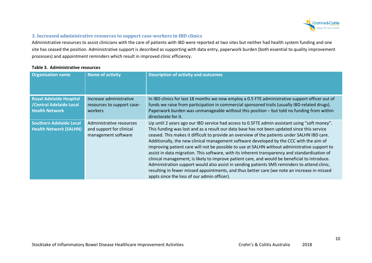

## **3. Increased administrative resources to support case-workers in IBD clinics**

Administrative resources to assist clinicians with the care of patients with IBD were reported at two sites but neither had health system funding and one site has ceased the position. Administrative support is described as supporting with data entry, paperwork burden (both essential to quality improvement processes) and appointment reminders which result in improved clinic efficiency.

#### **Table 3. Administrative resources**

| <b>Organisation name</b>                                                           | <b>Name of activity</b>                                                     | <b>Description of activity and outcomes</b>                                                                                                                                                                                                                                                                                                                                                                                                                                                                                                                                                                                                                                                                                                                                                                                                                                                                                               |
|------------------------------------------------------------------------------------|-----------------------------------------------------------------------------|-------------------------------------------------------------------------------------------------------------------------------------------------------------------------------------------------------------------------------------------------------------------------------------------------------------------------------------------------------------------------------------------------------------------------------------------------------------------------------------------------------------------------------------------------------------------------------------------------------------------------------------------------------------------------------------------------------------------------------------------------------------------------------------------------------------------------------------------------------------------------------------------------------------------------------------------|
| <b>Royal Adelaide Hospital</b><br>/Central Adelaide Local<br><b>Health Network</b> | Increase administrative<br>resources to support case-<br>workers            | In IBD clinics for last 18 months we now employ a 0.5 FTE administrative support officer out of<br>funds we raise from participation in commercial sponsored trails (usually IBD-related drugs).<br>Paperwork burden was unmanageable without this position - but told no funding from within<br>directorate for it.                                                                                                                                                                                                                                                                                                                                                                                                                                                                                                                                                                                                                      |
| <b>Southern Adelaide Local</b><br><b>Health Network (SALHN)</b>                    | Administrative resources<br>and support for clinical<br>management software | Up until 2 years ago our IBD service had access to 0.5FTE admin assistant using "soft money".<br>This funding was lost and as a result our data base has not been updated since this service<br>ceased. This makes it difficult to provide an overview of the patients under SALHN IBD care.<br>Additionally, the new clinical management software developed by the CCC with the aim of<br>improving patient care will not be possible to use at SALHN without administrative support to<br>assist in data migration. This software, with its inherent transparency and standardisation of<br>clinical management, is likely to improve patient care, and would be beneficial to introduce.<br>Administration support would also assist in sending patients SMS reminders to attend clinic,<br>resulting in fewer missed appointments, and thus better care (we note an increase in missed<br>appts since the loss of our admin officer). |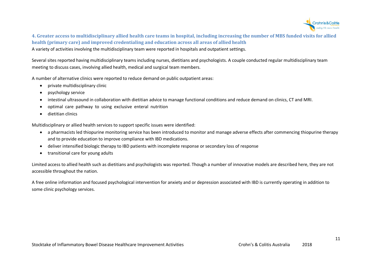

**4. Greater access to multidisciplinary allied health care teams in hospital, including increasing the number of MBS funded visits for allied health (primary care) and improved credentialing and education across all areas of allied health** A variety of activities involving the multidisciplinary team were reported in hospitals and outpatient settings.

Several sites reported having multidisciplinary teams including nurses, dietitians and psychologists. A couple conducted regular multidisciplinary team meeting to discuss cases, involving allied health, medical and surgical team members.

A number of alternative clinics were reported to reduce demand on public outpatient areas:

- •private multidisciplinary clinic
- •psychology service
- •intestinal ultrasound in collaboration with dietitian advice to manage functional conditions and reduce demand on clinics, CT and MRI.
- •optimal care pathway to using exclusive enteral nutrition
- •dietitian clinics

Multidisciplinary or allied health services to support specific issues were identified:

- a pharmacists led thiopurine monitoring service has been introduced to monitor and manage adverse effects after commencing thiopurine therapy and to provide education to improve compliance with IBD medications.
- •deliver intensified biologic therapy to IBD patients with incomplete response or secondary loss of response
- •transitional care for young adults

Limited access to allied health such as dietitians and psychologists was reported. Though a number of innovative models are described here, they are not accessible throughout the nation.

A free online information and focused psychological intervention for anxiety and or depression associated with IBD is currently operating in addition to some clinic psychology services.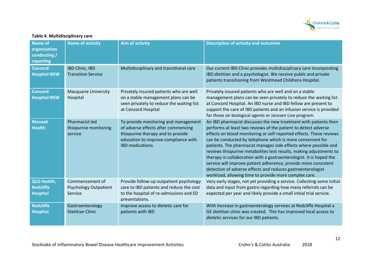

## **Table 4. Multidisciplinary care**

| <b>Name of</b><br>organisation<br>conducting /<br>reporting | <b>Name of activity</b>                                    | <b>Aim of activity</b>                                                                                                                                                       | <b>Description of activity and outcomes</b>                                                                                                                                                                                                                                                                                                                                                                                                                                                                                                                                                                                                                                         |
|-------------------------------------------------------------|------------------------------------------------------------|------------------------------------------------------------------------------------------------------------------------------------------------------------------------------|-------------------------------------------------------------------------------------------------------------------------------------------------------------------------------------------------------------------------------------------------------------------------------------------------------------------------------------------------------------------------------------------------------------------------------------------------------------------------------------------------------------------------------------------------------------------------------------------------------------------------------------------------------------------------------------|
| <b>Concord</b><br><b>Hospital NSW</b>                       | <b>IBD Clinic, IBD</b><br><b>Transition Service</b>        | Multidisciplinary and transitional care                                                                                                                                      | Our current IBD Clinic provides multidisciplinary care incorporating<br>IBD dietitian and a psychologist. We receive public and private<br>patients transitioning from Westmead Childrens Hospital.                                                                                                                                                                                                                                                                                                                                                                                                                                                                                 |
| <b>Concord</b><br><b>Hospital NSW</b>                       | <b>Macquarie University</b><br>Hospital                    | Privately insured patients who are well<br>on a stable management plans can be<br>seen privately to reduce the waiting list<br>at Concord Hospital                           | Privately insured patients who are well and on a stable<br>management plans can be seen privately to reduce the waiting list<br>at Concord Hospital. An IBD nurse and IBD fellow are present to<br>support the care of IBD patients and an infusion service is provided<br>for those on biological agents or Janssen Live program.                                                                                                                                                                                                                                                                                                                                                  |
| <b>Monash</b><br><b>Health</b>                              | Pharmacist led<br>thiopurine monitoring<br>service         | To provide monitoring and management<br>of adverse effects after commencing<br>thiopurine therapy and to provide<br>education to improve compliance with<br>IBD medications. | An IBD pharmacist discusses the new treatment with patients then<br>performs at least two reviews of the patient to detect adverse<br>effects on blood monitoring or self-reported effects. These reviews<br>can be conducted by telephone which is more convenient for<br>patients. The pharmacist manages side effects where possible and<br>reviews thiopurine metabolites test results, making adjustments to<br>therapy in collaboration with a gastroenterologist. It is hoped the<br>service will improve patient adherence, provide more consistent<br>detection of adverse effects and reduces gastroenterologist<br>workload, allowing time to provide more complex care. |
| <b>QLD Health,</b><br><b>Redcliffe</b><br><b>Hospital</b>   | Commencement of<br><b>Psychology Outpatient</b><br>Service | Provide follow-up outpatient psychology<br>care to IBD patients and reduce the cost<br>to the hospital of re-admissions and ED<br>presentations.                             | Very early stages, not yet providing a service. Collecting some initial<br>data and input from gastro regarding how many referrals can be<br>expected per year and likely provide a small initial trial service.                                                                                                                                                                                                                                                                                                                                                                                                                                                                    |
| <b>Redcliffe</b><br><b>Hospital</b>                         | Gastroenterology<br><b>Dietitian Clinic</b>                | Improve access to dietetic care for<br>patients with IBD                                                                                                                     | With increase in gastroenterology services at Redcliffe Hospital a<br>GE dietitian clinic was created. This has improved local access to<br>dietetic services for our IBD patients.                                                                                                                                                                                                                                                                                                                                                                                                                                                                                                 |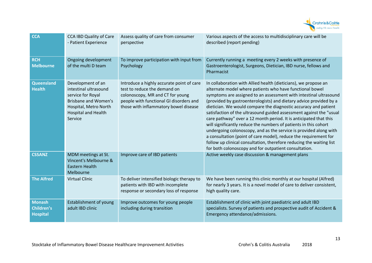

| <b>CCA</b>                                            | <b>CCA IBD Quality of Care</b><br>- Patient Experience                                                                                                           | Assess quality of care from consumer<br>perspective                                                                                                                                               | Various aspects of the access to multidisciplinary care will be<br>described (report pending)                                                                                                                                                                                                                                                                                                                                                                                                                                                                                                                                                                                                                                                                                                                                       |
|-------------------------------------------------------|------------------------------------------------------------------------------------------------------------------------------------------------------------------|---------------------------------------------------------------------------------------------------------------------------------------------------------------------------------------------------|-------------------------------------------------------------------------------------------------------------------------------------------------------------------------------------------------------------------------------------------------------------------------------------------------------------------------------------------------------------------------------------------------------------------------------------------------------------------------------------------------------------------------------------------------------------------------------------------------------------------------------------------------------------------------------------------------------------------------------------------------------------------------------------------------------------------------------------|
| <b>RCH</b><br><b>Melbourne</b>                        | Ongoing development<br>of the multi D team                                                                                                                       | To improve participation with input from<br>Psychology                                                                                                                                            | Currently running a meeting every 2 weeks with presence of<br>Gastroenterologist, Surgeons, Dietician, IBD nurse, fellows and<br>Pharmacist                                                                                                                                                                                                                                                                                                                                                                                                                                                                                                                                                                                                                                                                                         |
| <b>Queensland</b><br><b>Health</b>                    | Development of an<br>intestinal ultrasound<br>service for Royal<br><b>Brisbane and Women's</b><br>Hospital, Metro North<br><b>Hospital and Health</b><br>Service | Introduce a highly accurate point of care<br>test to reduce the demand on<br>colonoscopy, MR and CT for young<br>people with functional GI disorders and<br>those with inflammatory bowel disease | In collaboration with Allied health (dieticians), we propose an<br>alternate model where patients who have functional bowel<br>symptoms are assigned to an assessment with intestinal ultrasound<br>(provided by gastroenterologists) and dietary advice provided by a<br>dietician. We would compare the diagnostic accuracy and patient<br>satisfaction of the ultrasound guided assessment against the "usual<br>care pathway" over a 12 month period. It is anticipated that this<br>will significantly reduce the numbers of patients in this cohort<br>undergoing colonoscopy, and as the service is provided along with<br>a consultation (point of care model), reduce the requirement for<br>follow up clinical consultation, therefore reducing the waiting list<br>for both colonoscopy and for outpatient consultation. |
| <b>CSSANZ</b>                                         | MDM meetings at St.<br>Vincent's Melbourne &<br><b>Eastern Health</b><br>Melbourne                                                                               | Improve care of IBD patients                                                                                                                                                                      | Active weekly case discussion & management plans                                                                                                                                                                                                                                                                                                                                                                                                                                                                                                                                                                                                                                                                                                                                                                                    |
| <b>The Alfred</b>                                     | <b>Virtual Clinic</b>                                                                                                                                            | To deliver intensified biologic therapy to<br>patients with IBD with incomplete<br>response or secondary loss of response                                                                         | We have been running this clinic monthly at our hospital (Alfred)<br>for nearly 3 years. It is a novel model of care to deliver consistent,<br>high quality care.                                                                                                                                                                                                                                                                                                                                                                                                                                                                                                                                                                                                                                                                   |
| <b>Monash</b><br><b>Children's</b><br><b>Hospital</b> | <b>Establishment of young</b><br>adult IBD clinic                                                                                                                | Improve outcomes for young people<br>including during transition                                                                                                                                  | Establishment of clinic with joint paediatric and adult IBD<br>specialists. Survey of patients and prospective audit of Accident &<br>Emergency attendance/admissions.                                                                                                                                                                                                                                                                                                                                                                                                                                                                                                                                                                                                                                                              |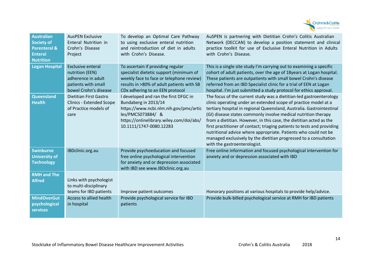

| <b>Australian</b><br><b>Society of</b><br><b>Parenteral &amp;</b><br><b>Enteral</b><br><b>Nutrition</b> | <b>AusPEN Exclusive</b><br>Enteral Nutrition in<br>Crohn's Disease<br>Project                                     | To develop an Optimal Care Pathway<br>to using exclusive enteral nutrition<br>and reintroduction of diet in adults<br>with Crohn's Disease.                                                              | AuSPEN is partnering with Dietitian Crohn's Colitis Australian<br>Network (DECCAN) to develop a position statement and clinical<br>practice toolkit for use of Exclusive Enteral Nutrition in Adults<br>with Crohn's Disease.                                                                                                                                                                                                                                                                                                                                                                               |
|---------------------------------------------------------------------------------------------------------|-------------------------------------------------------------------------------------------------------------------|----------------------------------------------------------------------------------------------------------------------------------------------------------------------------------------------------------|-------------------------------------------------------------------------------------------------------------------------------------------------------------------------------------------------------------------------------------------------------------------------------------------------------------------------------------------------------------------------------------------------------------------------------------------------------------------------------------------------------------------------------------------------------------------------------------------------------------|
| <b>Logan Hospital</b>                                                                                   | <b>Exclusive enteral</b><br>nutrition (EEN)<br>adherence in adult<br>patients with small<br>bowel Crohn's disease | To ascertain if providing regular<br>specialist dietetic support (minimum of<br>weekly face to face or telephone review)<br>results in >80% of adult patients with SB<br>CDx adhering to an EEN protocol | This is a single site study I'm carrying out to examining a specific<br>cohort of adult patients, over the age of 18years at Logan hospital.<br>These patients are outpatients with small bowel Crohn's disease<br>referred from an IBD Specialist clinic for a trial of EEN at Logan<br>hospital. I'm just submitted a study protocol for ethics approval.                                                                                                                                                                                                                                                 |
| Queensland<br><b>Health</b>                                                                             | Dietitian First Gastro<br><b>Clinics - Extended Scope</b><br>of Practice models of<br>care                        | I developed and ran the first DFGC in<br>Bundaberg in 2013/14<br>https://www.ncbi.nlm.nih.gov/pmc/artic<br>les/PMC5073884/ &<br>https://onlinelibrary.wiley.com/doi/abs/<br>10.1111/1747-0080.12283      | The focus of the current study was a dietitian-led gastroenterology<br>clinic operating under an extended scope of practice model at a<br>tertiary hospital in regional Queensland, Australia. Gastrointestinal<br>(GI) disease states commonly involve medical nutrition therapy<br>from a dietitian. However, in this case, the dietitian acted as the<br>first practitioner of contact; triaging patients to tests and providing<br>nutritional advice where appropriate. Patients who could not be<br>managed exclusively by the dietitian progressed to a consultation<br>with the gastroenterologist. |
| <b>Swinburne</b><br><b>University of</b><br><b>Technology</b>                                           | IBDclinic.org.au                                                                                                  | Provide psychoeducation and focused<br>free online psychological intervention<br>for anxiety and or depression associated<br>with IBD see www.IBDclinic.org.au                                           | Free online information and focused psychological intervention for<br>anxiety and or depression associated with IBD                                                                                                                                                                                                                                                                                                                                                                                                                                                                                         |
| <b>RMH and The</b><br><b>Alfred</b>                                                                     | Links with psychologist<br>to multi-disciplinary<br>teams for IBD patients                                        | Improve patient outcomes                                                                                                                                                                                 | Honorary positions at various hospitals to provide help/advice.                                                                                                                                                                                                                                                                                                                                                                                                                                                                                                                                             |
| <b>MindOverGut</b><br>psychological<br><b>services</b>                                                  | Access to allied health<br>in hospital                                                                            | Provide psychological service for IBD<br>patients                                                                                                                                                        | Provide bulk-billed psychological service at RMH for IBD patients                                                                                                                                                                                                                                                                                                                                                                                                                                                                                                                                           |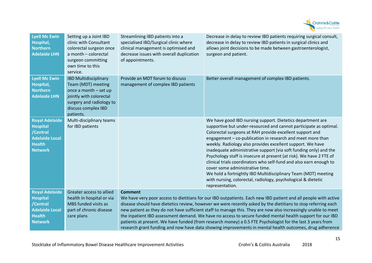

| <b>Lyell Mc Ewin</b><br>Hospital,<br><b>Northern</b><br><b>Adelaide LHN</b>                                      | Setting up a Joint IBD<br>clinic with Consultant<br>colorectal surgeon once<br>a month - colorectal<br>surgeon committing<br>own time to this<br>service.              | Streamlining IBD patients into a<br>specialised IBD/Surgical clinic where<br>clinical management is optimised and<br>decrease issues with overall duplication<br>of appointments. | Decrease in delay to review IBD patients requiring surgical consult,<br>decrease in delay to review IBD patients in surgical clinics and<br>allows joint decisions to be made between gastroenterologist,<br>surgeon and patient.                                                                                                                                                                                                                                                                                                                                                                                                                                                                                                  |
|------------------------------------------------------------------------------------------------------------------|------------------------------------------------------------------------------------------------------------------------------------------------------------------------|-----------------------------------------------------------------------------------------------------------------------------------------------------------------------------------|------------------------------------------------------------------------------------------------------------------------------------------------------------------------------------------------------------------------------------------------------------------------------------------------------------------------------------------------------------------------------------------------------------------------------------------------------------------------------------------------------------------------------------------------------------------------------------------------------------------------------------------------------------------------------------------------------------------------------------|
| <b>Lyell Mc Ewin</b><br>Hospital,<br><b>Northern</b><br><b>Adelaide LHN</b>                                      | <b>IBD Multidisciplinary</b><br>Team (MDT) meeting<br>once a month - set up<br>jointly with colorectal<br>surgery and radiology to<br>discuss complex IBD<br>patients. | Provide an MDT forum to discuss<br>management of complex IBD patients                                                                                                             | Better overall management of complex IBD patients.                                                                                                                                                                                                                                                                                                                                                                                                                                                                                                                                                                                                                                                                                 |
| <b>Royal Adelaide</b><br><b>Hospital</b><br>/Central<br><b>Adelaide Local</b><br><b>Health</b><br><b>Network</b> | Multi-disciplinary teams<br>for IBD patients                                                                                                                           |                                                                                                                                                                                   | We have good IBD nursing support. Dietetics department are<br>supportive but under-resourced and cannot participate as optimal.<br>Colorectal surgeons at RAH provide excellent support and<br>engagement - co-publication in research and meet more than<br>weekly. Radiology also provides excellent support. We have<br>inadequate administrative support (via soft funding only) and the<br>Psychology staff is insecure at present (at risk). We have 2 FTE of<br>clinical trials coordinators who self-fund and also earn enough to<br>cover some administrative time.<br>We hold a fortnightly IBD Multidisciplinary Team (MDT) meeting<br>with nursing, colorectal, radiology, psychological & dietetic<br>representation. |
| <b>Royal Adelaide</b><br><b>Hospital</b><br>/Central<br><b>Adelaide Local</b><br><b>Health</b><br><b>Network</b> | Greater access to allied<br>health in hospital or via<br>MBS funded visits as<br>part of chronic disease<br>care plans                                                 | <b>Comment</b>                                                                                                                                                                    | We have very poor access to dietitians for our IBD outpatients. Each new IBD patient and all people with active<br>disease should have dietetics review, however we were recently asked by the dietitians to stop referring each<br>new patient as they do not have sufficient staff to manage this. They are now also increasingly unable to meet<br>the inpatient IBD assessment demand. We have no access to secure funded mental health support for our IBD<br>patients at present. We have funded (from research money) a 0.5 FTE Psychologist for the last 3 years from<br>research grant funding and now have data showing improvements in mental health outcomes, drug adherence                                           |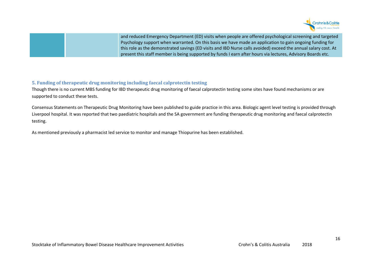

and reduced Emergency Department (ED) visits when people are offered psychological screening and targeted Psychology support when warranted. On this basis we have made an application to gain ongoing funding for this role as the demonstrated savings (ED visits and IBD Nurse calls avoided) exceed the annual salary cost. At present this staff member is being supported by funds I earn after hours via lectures, Advisory Boards etc.

## **5. Funding of therapeutic drug monitoring including faecal calprotectin testing**

Though there is no current MBS funding for IBD therapeutic drug monitoring of faecal calprotectin testing some sites have found mechanisms or are supported to conduct these tests.

Consensus Statements on Therapeutic Drug Monitoring have been published to guide practice in this area. Biologic agent level testing is provided through Liverpool hospital. It was reported that two paediatric hospitals and the SA government are funding therapeutic drug monitoring and faecal calprotectin testing.

As mentioned previously a pharmacist led service to monitor and manage Thiopurine has been established.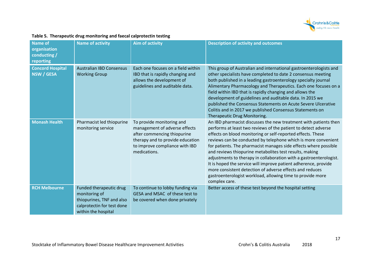

| Name of<br>organisation<br>conducting /<br>reporting | <b>Name of activity</b>                                                                                                    | <b>Aim of activity</b>                                                                                                                                                          | <b>Description of activity and outcomes</b>                                                                                                                                                                                                                                                                                                                                                                                                                                                                                                                                                                                                                                            |
|------------------------------------------------------|----------------------------------------------------------------------------------------------------------------------------|---------------------------------------------------------------------------------------------------------------------------------------------------------------------------------|----------------------------------------------------------------------------------------------------------------------------------------------------------------------------------------------------------------------------------------------------------------------------------------------------------------------------------------------------------------------------------------------------------------------------------------------------------------------------------------------------------------------------------------------------------------------------------------------------------------------------------------------------------------------------------------|
| <b>Concord Hospital</b><br><b>NSW / GESA</b>         | <b>Australian IBD Consensus</b><br><b>Working Group</b>                                                                    | Each one focuses on a field within<br>IBD that is rapidly changing and<br>allows the development of<br>guidelines and auditable data.                                           | This group of Australian and international gastroenterologists and<br>other specialists have completed to date 2 consensus meeting<br>both published in a leading gastroenterology specialty journal<br>Alimentary Pharmacology and Therapeutics. Each one focuses on a<br>field within IBD that is rapidly changing and allows the<br>development of guidelines and auditable data. In 2015 we<br>published the Consensus Statements on Acute Severe Ulcerative<br>Colitis and in 2017 we published Consensus Statements on<br>Therapeutic Drug Monitoring.                                                                                                                           |
| <b>Monash Health</b>                                 | Pharmacist led thiopurine<br>monitoring service                                                                            | To provide monitoring and<br>management of adverse effects<br>after commencing thiopurine<br>therapy and to provide education<br>to improve compliance with IBD<br>medications. | An IBD pharmacist discusses the new treatment with patients then<br>performs at least two reviews of the patient to detect adverse<br>effects on blood monitoring or self-reported effects. These<br>reviews can be conducted by telephone which is more convenient<br>for patients. The pharmacist manages side effects where possible<br>and reviews thiopurine metabolites test results, making<br>adjustments to therapy in collaboration with a gastroenterologist.<br>It is hoped the service will improve patient adherence, provide<br>more consistent detection of adverse effects and reduces<br>gastroenterologist workload, allowing time to provide more<br>complex care. |
| <b>RCH Melbourne</b>                                 | Funded therapeutic drug<br>monitoring of<br>thiopurines, TNF and also<br>calprotectin for test done<br>within the hospital | To continue to lobby funding via<br>GESA and MSAC of these test to<br>be covered when done privately                                                                            | Better access of these test beyond the hospital setting                                                                                                                                                                                                                                                                                                                                                                                                                                                                                                                                                                                                                                |

## **Table 5. Therapeutic drug monitoring and faecal calprotectin testing**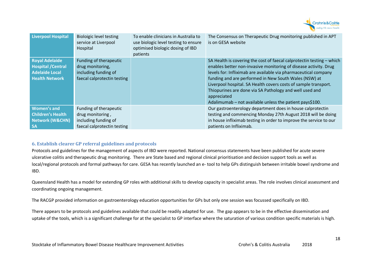

| <b>Liverpool Hospital</b>                                                                            | <b>Bioloigic level testing</b><br>service at Liverpool<br>Hospital                                | To enable clinicians in Australia to<br>use biologic level testing to ensure<br>optimised biologic dosing of IBD<br>patients | The Consensus on Therapeutic Drug monitoring published in APT<br>is on GESA website                                                                                                                                                                                                                                                                                                                                                                                              |
|------------------------------------------------------------------------------------------------------|---------------------------------------------------------------------------------------------------|------------------------------------------------------------------------------------------------------------------------------|----------------------------------------------------------------------------------------------------------------------------------------------------------------------------------------------------------------------------------------------------------------------------------------------------------------------------------------------------------------------------------------------------------------------------------------------------------------------------------|
| <b>Royal Adelaide</b><br><b>Hospital / Central</b><br><b>Adelaide Local</b><br><b>Health Network</b> | Funding of therapeutic<br>drug monitoring,<br>including funding of<br>faecal calprotectin testing |                                                                                                                              | SA Health is covering the cost of faecal calprotectin testing $-$ which<br>enables better non-invasive monitoring of disease activity. Drug<br>levels for: Infliximab are available via pharmaceutical company<br>funding and are performed in New South Wales (NSW) at<br>Liverpool hospital. SA Health covers costs of sample transport.<br>Thiopurines are done via SA Pathology and well used and<br>appreciated<br>Adalimumab – not available unless the patient pays\$100. |
| <b>Women's and</b><br><b>Children's Health</b><br><b>Network (W&amp;CHN)</b><br><b>SA</b>            | Funding of therapeutic<br>drug monitoring,<br>including funding of<br>faecal calprotectin testing |                                                                                                                              | Our gastroenterology department does in house calprotectin<br>testing and commencing Monday 27th August 2018 will be doing<br>in house infliximab testing in order to improve the service to our<br>patients on Infliximab.                                                                                                                                                                                                                                                      |

## **6. Establish clearer GP referral guidelines and protocols**

Protocols and guidelines for the management of aspects of IBD were reported. National consensus statements have been published for acute severe ulcerative colitis and therapeutic drug monitoring. There are State based and regional clinical prioritisation and decision support tools as well as local/regional protocols and formal pathways for care. GESA has recently launched an e- tool to help GPs distinguish between irritable bowel syndrome andIBD.

Queensland Health has a model for extending GP roles with additional skills to develop capacity in specialist areas. The role involves clinical assessment and coordinating ongoing management.

The RACGP provided information on gastroenterology education opportunities for GPs but only one session was focussed specifically on IBD.

There appears to be protocols and guidelines available that could be readily adapted for use. The gap appears to be in the effective dissemination and uptake of the tools, which is a significant challenge for at the specialist to GP interface where the saturation of various condition specific materials is high.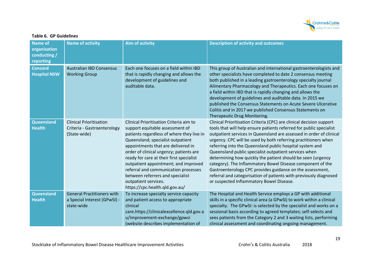

| <b>Name of</b><br>organisation<br>conducting /<br>reporting | <b>Name of activity</b>                                                         | <b>Aim of activity</b>                                                                                                                                                                                                                                                                                                                                                                                                                                                  | <b>Description of activity and outcomes</b>                                                                                                                                                                                                                                                                                                                                                                                                                                                                                                                                                                                                                                                                          |
|-------------------------------------------------------------|---------------------------------------------------------------------------------|-------------------------------------------------------------------------------------------------------------------------------------------------------------------------------------------------------------------------------------------------------------------------------------------------------------------------------------------------------------------------------------------------------------------------------------------------------------------------|----------------------------------------------------------------------------------------------------------------------------------------------------------------------------------------------------------------------------------------------------------------------------------------------------------------------------------------------------------------------------------------------------------------------------------------------------------------------------------------------------------------------------------------------------------------------------------------------------------------------------------------------------------------------------------------------------------------------|
| <b>Concord</b><br><b>Hospital NSW</b>                       | <b>Australian IBD Consensus</b><br><b>Working Group</b>                         | Each one focuses on a field within IBD<br>that is rapidly changing and allows the<br>development of guidelines and<br>auditable data.                                                                                                                                                                                                                                                                                                                                   | This group of Australian and international gastroenterologists and<br>other specialists have completed to date 2 consensus meeting<br>both published in a leading gastroenterology specialty journal<br>Alimentary Pharmacology and Therapeutics. Each one focuses on<br>a field within IBD that is rapidly changing and allows the<br>development of guidelines and auditable data. In 2015 we<br>published the Consensus Statements on Acute Severe Ulcerative<br>Colitis and in 2017 we published Consensus Statements on<br>Therapeutic Drug Monitoring.                                                                                                                                                         |
| Queensland<br><b>Health</b>                                 | <b>Clinical Prioritisation</b><br>Criteria - Gastroenterology<br>(State-wide)   | Clinical Prioritisation Criteria aim to<br>support equitable assessment of<br>patients regardless of where they live in<br>Queensland; specialist outpatient<br>appointments that are delivered in<br>order of clinical urgency; patients are<br>ready for care at their first specialist<br>outpatient appointment; and improved<br>referral and communication processes<br>between referrers and specialist<br>outpatient services.<br>https://cpc.health.qld.gov.au/ | Clinical Prioritisation Criteria (CPC) are clinical decision support<br>tools that will help ensure patients referred for public specialist<br>outpatient services in Queensland are assessed in order of clinical<br>urgency. CPC will be used by both referring practitioners when<br>referring into the Queensland public hospital system and<br>Queensland public specialist outpatient services when<br>determining how quickly the patient should be seen (urgency<br>category). The Inflammatory Bowel Disease component of the<br>Gastroenterology CPC provides guidance on the assessment,<br>referral and categorisation of patients with previously diagnosed<br>or suspected Inflammatory Bowel Disease. |
| Queensland<br><b>Health</b>                                 | <b>General Practitioners with</b><br>a Special Interest (GPwSI) -<br>state-wide | To increase specialty service capacity<br>and patient access to appropriate<br>clinical<br>care.https://clinicalexcellence.qld.gov.a<br>u/improvement-exchange/gpwsi<br>(website describes implementation of                                                                                                                                                                                                                                                            | The Hospital and Health Service employs a GP with additional<br>skills in a specific clinical area (a GPwSI) to work within a clinical<br>specialty. The GPwSI: is selected by the specialist and works on a<br>sessional basis according to agreed templates; self-selects and<br>sees patients from the Category 2 and 3 waiting lists, performing<br>clinical assessment and coordinating ongoing management.                                                                                                                                                                                                                                                                                                     |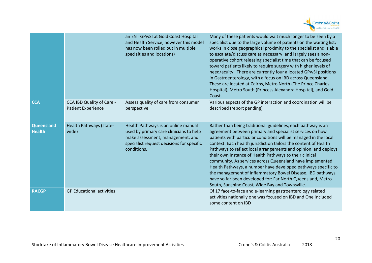

|                             |                                                        | an ENT GPwSI at Gold Coast Hospital<br>and Health Service, however this model<br>has now been rolled out in multiple<br>specialties and locations)                             | Many of these patients would wait much longer to be seen by a<br>specialist due to the large volume of patients on the waiting list;<br>works in close geographical proximity to the specialist and is able<br>to escalate/discuss care as necessary; and largely sees a non-<br>operative cohort releasing specialist time that can be focused<br>toward patients likely to require surgery with higher levels of<br>need/acuity. There are currently four allocated GPwSI positions<br>in Gastroenterology, with a focus on IBD across Queensland.<br>These are located at Cairns, Metro North (The Prince Charles<br>Hospital), Metro South (Princess Alexandra Hospital), and Gold<br>Coast.            |
|-----------------------------|--------------------------------------------------------|--------------------------------------------------------------------------------------------------------------------------------------------------------------------------------|-------------------------------------------------------------------------------------------------------------------------------------------------------------------------------------------------------------------------------------------------------------------------------------------------------------------------------------------------------------------------------------------------------------------------------------------------------------------------------------------------------------------------------------------------------------------------------------------------------------------------------------------------------------------------------------------------------------|
| <b>CCA</b>                  | CCA IBD Quality of Care -<br><b>Patient Experience</b> | Assess quality of care from consumer<br>perspective                                                                                                                            | Various aspects of the GP interaction and coordination will be<br>described (report pending)                                                                                                                                                                                                                                                                                                                                                                                                                                                                                                                                                                                                                |
| Queensland<br><b>Health</b> | Health Pathways (state-<br>wide)                       | Health Pathways is an online manual<br>used by primary care clinicians to help<br>make assessment, management, and<br>specialist request decisions for specific<br>conditions. | Rather than being traditional guidelines, each pathway is an<br>agreement between primary and specialist services on how<br>patients with particular conditions will be managed in the local<br>context. Each health jurisdiction tailors the content of Health<br>Pathways to reflect local arrangements and opinion, and deploys<br>their own instance of Health Pathways to their clinical<br>community. As services across Queensland have implemented<br>Health Pathways, a number have developed pathways specific to<br>the management of Inflammatory Bowel Disease. IBD pathways<br>have so far been developed for: Far North Queensland, Metro<br>South, Sunshine Coast, Wide Bay and Townsville. |
| <b>RACGP</b>                | <b>GP Educational activities</b>                       |                                                                                                                                                                                | Of 17 face-to-face and e-learning gastroenterology related<br>activities nationally one was focused on IBD and One included<br>some content on IBD                                                                                                                                                                                                                                                                                                                                                                                                                                                                                                                                                          |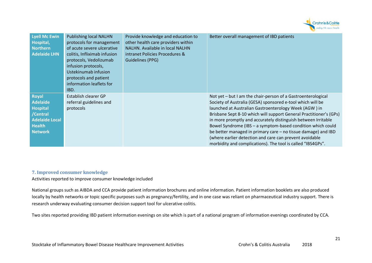

| <b>Lyell Mc Ewin</b><br>Hospital,<br><b>Northern</b><br><b>Adelaide LHN</b>                                         | <b>Publishing local NALHN</b><br>protocols for management<br>of acute severe ulcerative<br>colitis, Infliximab infusion<br>protocols, Vedolizumab<br>infusion protocols,<br>Ustekinumab infusion<br>protocols and patient<br>information leaflets for<br>IBD. | Provide knowledge and education to<br>other health care providers within<br>NALHN. Available in local NALHN<br>intranet Policies Procedures &<br>Guidelines (PPG) | Better overall management of IBD patients                                                                                                                                                                                                                                                                                                                                                                                                                                                                                                                                            |
|---------------------------------------------------------------------------------------------------------------------|---------------------------------------------------------------------------------------------------------------------------------------------------------------------------------------------------------------------------------------------------------------|-------------------------------------------------------------------------------------------------------------------------------------------------------------------|--------------------------------------------------------------------------------------------------------------------------------------------------------------------------------------------------------------------------------------------------------------------------------------------------------------------------------------------------------------------------------------------------------------------------------------------------------------------------------------------------------------------------------------------------------------------------------------|
| <b>Royal</b><br>Adelaide<br><b>Hospital</b><br>/Central<br><b>Adelaide Local</b><br><b>Health</b><br><b>Network</b> | Establish clearer GP<br>referral guidelines and<br>protocols                                                                                                                                                                                                  |                                                                                                                                                                   | Not yet – but I am the chair-person of a Gastroenterological<br>Society of Australia (GESA) sponsored e-tool which will be<br>launched at Australian Gastroenterology Week (AGW) in<br>Brisbane Sept 8-10 which will support General Practitioner's (GPs)<br>in more promptly and accurately distinguish between Irritable<br>Bowel Syndrome (IBS - a symptom-based condition which could<br>be better managed in primary care - no tissue damage) and IBD<br>(where earlier detection and care can prevent avoidable<br>morbidity and complications). The tool is called "IBS4GPs". |

# **7. Improved consumer knowledge**

Activities reported to improve consumer knowledge included

National groups such as AIBDA and CCA provide patient information brochures and online information. Patient information booklets are also produced locally by health networks or topic specific purposes such as pregnancy/fertility, and in one case was reliant on pharmaceutical industry support. There is research underway evaluating consumer decision support tool for ulcerative colitis.

Two sites reported providing IBD patient information evenings on site which is part of a national program of information evenings coordinated by CCA.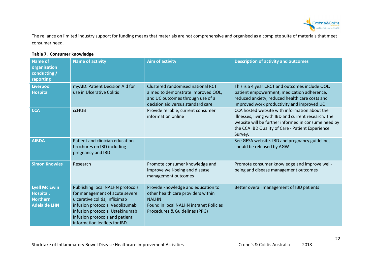

The reliance on limited industry support for funding means that materials are not comprehensive and organised as a complete suite of materials that meet consumer need.

# **Table 7. Consumer knowledge**

| <b>Name of</b><br>organisation<br>conducting /<br>reporting                 | <b>Name of activity</b>                                                                                                                                                                                                                       | <b>Aim of activity</b>                                                                                                                                                      | <b>Description of activity and outcomes</b>                                                                                                                                                                                 |
|-----------------------------------------------------------------------------|-----------------------------------------------------------------------------------------------------------------------------------------------------------------------------------------------------------------------------------------------|-----------------------------------------------------------------------------------------------------------------------------------------------------------------------------|-----------------------------------------------------------------------------------------------------------------------------------------------------------------------------------------------------------------------------|
| Liverpool<br><b>Hospital</b>                                                | myAID: Patient Decision Aid for<br>use in Ulcerative Colitis                                                                                                                                                                                  | Clustered randomised national RCT<br>aimed to demonstrate improved QOL,<br>and UC outcomes through use of a<br>decision aid versus standard care                            | This is a 4 year CRCT and outcomes include QOL,<br>patient empowerment, medication adherence,<br>reduced anxiety, reduced health care costs and<br>improved work productivity and improved UC                               |
| <b>CCA</b>                                                                  | <b>CCHUB</b>                                                                                                                                                                                                                                  | Provide reliable, current consumer<br>information online                                                                                                                    | CCA hosted website with information about the<br>illnesses, living with IBD and current research. The<br>website will be further informed in consume need by<br>the CCA IBD Quality of Care - Patient Experience<br>Survey. |
| <b>AIBDA</b>                                                                | Patient and clinician education<br>brochures on IBD including<br>pregnancy and IBD                                                                                                                                                            |                                                                                                                                                                             | See GESA website. IBD and pregnancy guidelines<br>should be released by AGW                                                                                                                                                 |
| <b>Simon Knowles</b>                                                        | Research                                                                                                                                                                                                                                      | Promote consumer knowledge and<br>improve well-being and disease<br>management outcomes                                                                                     | Promote consumer knowledge and improve well-<br>being and disease management outcomes                                                                                                                                       |
| <b>Lyell Mc Ewin</b><br>Hospital,<br><b>Northern</b><br><b>Adelaide LHN</b> | Publishing local NALHN protocols<br>for management of acute severe<br>ulcerative colitis, Infliximab<br>infusion protocols, Vedolizumab<br>infusion protocols, Ustekinumab<br>infusion protocols and patient<br>information leaflets for IBD. | Provide knowledge and education to<br>other health care providers within<br><b>NALHN.</b><br><b>Found in local NALHN intranet Policies</b><br>Procedures & Guidelines (PPG) | Better overall management of IBD patients                                                                                                                                                                                   |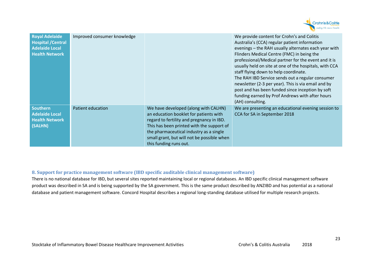

| <b>Royal Adelaide</b><br><b>Hospital / Central</b><br><b>Adelaide Local</b><br><b>Health Network</b> | Improved consumer knowledge |                                                                                                                                                                                                                                                                                             | We provide content for Crohn's and Colitis<br>Australia's (CCA) regular patient information<br>evenings - the RAH usually alternates each year with<br>Flinders Medical Centre (FMC) in being the<br>professional/Medical partner for the event and it is<br>usually held on site at one of the hospitals, with CCA<br>staff flying down to help coordinate.<br>The RAH IBD Service sends out a regular consumer<br>newsletter (2-3 per year). This is via email and by<br>post and has been funded since inception by soft<br>funding earned by Prof Andrews with after hours<br>(AH) consulting. |
|------------------------------------------------------------------------------------------------------|-----------------------------|---------------------------------------------------------------------------------------------------------------------------------------------------------------------------------------------------------------------------------------------------------------------------------------------|----------------------------------------------------------------------------------------------------------------------------------------------------------------------------------------------------------------------------------------------------------------------------------------------------------------------------------------------------------------------------------------------------------------------------------------------------------------------------------------------------------------------------------------------------------------------------------------------------|
| <b>Southern</b><br><b>Adelaide Local</b><br><b>Health Network</b><br>(SALHN)                         | Patient education           | We have developed (along with CALHN)<br>an education booklet for patients with<br>regard to fertility and pregnancy in IBD.<br>This has been printed with the support of<br>the pharmaceutical industry as a single<br>small grant, but will not be possible when<br>this funding runs out. | We are presenting an educational evening session to<br>CCA for SA in September 2018                                                                                                                                                                                                                                                                                                                                                                                                                                                                                                                |

# **8. Support for practice management software (IBD specific auditable clinical management software)**

There is no national database for IBD, but several sites reported maintaining local or regional databases. An IBD specific clinical management software product was described in SA and is being supported by the SA government. This is the same product described by ANZIBD and has potential as a national database and patient management software. Concord Hospital describes a regional long-standing database utilised for multiple research projects.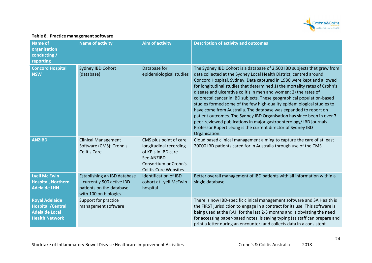

## **Table 8. Practice management software**

| <b>Name of</b><br>organisation<br>conducting /<br>reporting                                          | <b>Name of activity</b>                                                                                          | <b>Aim of activity</b>                                                                                                                         | <b>Description of activity and outcomes</b>                                                                                                                                                                                                                                                                                                                                                                                                                                                                                                                                                                                                                                                                                                                                                                                         |
|------------------------------------------------------------------------------------------------------|------------------------------------------------------------------------------------------------------------------|------------------------------------------------------------------------------------------------------------------------------------------------|-------------------------------------------------------------------------------------------------------------------------------------------------------------------------------------------------------------------------------------------------------------------------------------------------------------------------------------------------------------------------------------------------------------------------------------------------------------------------------------------------------------------------------------------------------------------------------------------------------------------------------------------------------------------------------------------------------------------------------------------------------------------------------------------------------------------------------------|
| <b>Concord Hospital</b><br><b>NSW</b>                                                                | Sydney IBD Cohort<br>(database)                                                                                  | Database for<br>epidemiological studies                                                                                                        | The Sydney IBD Cohort is a database of 2,500 IBD subjects that grew from<br>data collected at the Sydney Local Health District, centred around<br>Concord Hospital, Sydney. Data captured in 1980 were kept and allowed<br>for longitudinal studies that determined 1) the mortality rates of Crohn's<br>disease and ulcerative colitis in men and women; 2) the rates of<br>colorectal cancer in IBD subjects. These geographical population-based<br>studies formed some of the few high-quality epidemiological studies to<br>have come from Australia. The database was expanded to report on<br>patient outcomes. The Sydney IBD Organisation has since been in over 7<br>peer-reviewed publications in major gastroenterology/ IBD journals.<br>Professor Rupert Leong is the current director of Sydney IBD<br>Organisation. |
| <b>ANZIBD</b>                                                                                        | <b>Clinical Management</b><br>Software (CMS): Crohn's<br><b>Colitis Care</b>                                     | CMS plus point of care<br>longitudinal recording<br>of KPIs in IBD care<br>See ANZIBD<br>Consortium or Crohn's<br><b>Colitis Cure Websites</b> | Cloud based clinical management aiming to capture the care of at least<br>20000 IBD patients cared for in Australia through use of the CMS                                                                                                                                                                                                                                                                                                                                                                                                                                                                                                                                                                                                                                                                                          |
| <b>Lyell Mc Ewin</b><br><b>Hospital, Northern</b><br><b>Adelaide LHN</b>                             | Establishing an IBD database<br>- currently 500 active IBD<br>patients on the database<br>with 100 on biologics. | <b>Identification of IBD</b><br>cohort at Lyell McEwin<br>hospital                                                                             | Better overall management of IBD patients with all information within a<br>single database.                                                                                                                                                                                                                                                                                                                                                                                                                                                                                                                                                                                                                                                                                                                                         |
| <b>Royal Adelaide</b><br><b>Hospital / Central</b><br><b>Adelaide Local</b><br><b>Health Network</b> | Support for practice<br>management software                                                                      |                                                                                                                                                | There is now IBD-specific clinical management software and SA Health is<br>the FIRST jurisdiction to engage in a contract for its use. This software is<br>being used at the RAH for the last 2-3 months and is obviating the need<br>for accessing paper-based notes, is saving typing (as staff can prepare and<br>print a letter during an encounter) and collects data in a consistent                                                                                                                                                                                                                                                                                                                                                                                                                                          |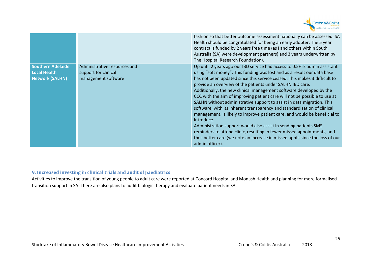

|                                                                           |                                                                             | fashion so that better outcome assessment nationally can be assessed. SA<br>Health should be congratulated for being an early adopter. The 5 year<br>contract is funded by 2 years free time (as I and others within South<br>Australia (SA) were development partners) and 3 years underwritten by<br>The Hospital Research Foundation).                                                                                                                                                                                                                                                                                                                                                                                                                                                                                                                                                                                                             |
|---------------------------------------------------------------------------|-----------------------------------------------------------------------------|-------------------------------------------------------------------------------------------------------------------------------------------------------------------------------------------------------------------------------------------------------------------------------------------------------------------------------------------------------------------------------------------------------------------------------------------------------------------------------------------------------------------------------------------------------------------------------------------------------------------------------------------------------------------------------------------------------------------------------------------------------------------------------------------------------------------------------------------------------------------------------------------------------------------------------------------------------|
| <b>Southern Adelaide</b><br><b>Local Health</b><br><b>Network (SALHN)</b> | Administrative resources and<br>support for clinical<br>management software | Up until 2 years ago our IBD service had access to 0.5FTE admin assistant<br>using "soft money". This funding was lost and as a result our data base<br>has not been updated since this service ceased. This makes it difficult to<br>provide an overview of the patients under SALHN IBD care.<br>Additionally, the new clinical management software developed by the<br>CCC with the aim of improving patient care will not be possible to use at<br>SALHN without administrative support to assist in data migration. This<br>software, with its inherent transparency and standardisation of clinical<br>management, is likely to improve patient care, and would be beneficial to<br>introduce.<br>Administration support would also assist in sending patients SMS<br>reminders to attend clinic, resulting in fewer missed appointments, and<br>thus better care (we note an increase in missed appts since the loss of our<br>admin officer). |

# **9. Increased investing in clinical trials and audit of paediatrics**

Activities to improve the transition of young people to adult care were reported at Concord Hospital and Monash Health and planning for more formalised transition support in SA. There are also plans to audit biologic therapy and evaluate patient needs in SA.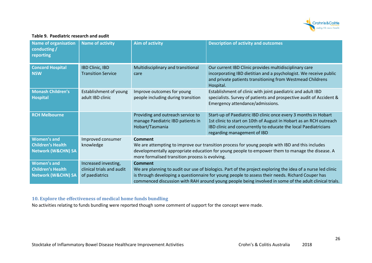

#### **Table 9. Paediatric research and audit**

| <b>Name of organisation</b><br>conducting /<br>reporting                        | <b>Name of activity</b>                                             | <b>Aim of activity</b>                                                                                                                                                                                                                                                                                                                      | <b>Description of activity and outcomes</b>                                                                                                                                                                                             |
|---------------------------------------------------------------------------------|---------------------------------------------------------------------|---------------------------------------------------------------------------------------------------------------------------------------------------------------------------------------------------------------------------------------------------------------------------------------------------------------------------------------------|-----------------------------------------------------------------------------------------------------------------------------------------------------------------------------------------------------------------------------------------|
| <b>Concord Hospital</b><br><b>NSW</b>                                           | <b>IBD Clinic, IBD</b><br><b>Transition Service</b>                 | Multidisciplinary and transitional<br>care                                                                                                                                                                                                                                                                                                  | Our current IBD Clinic provides multidisciplinary care<br>incorporating IBD dietitian and a psychologist. We receive public<br>and private patients transitioning from Westmead Childrens<br>Hospital.                                  |
| <b>Monash Children's</b><br><b>Hospital</b>                                     | Establishment of young<br>adult IBD clinic                          | Improve outcomes for young<br>people including during transition                                                                                                                                                                                                                                                                            | Establishment of clinic with joint paediatric and adult IBD<br>specialists. Survey of patients and prospective audit of Accident &<br>Emergency attendance/admissions.                                                                  |
| <b>RCH Melbourne</b>                                                            |                                                                     | Providing and outreach service to<br>manage Paediatric IBD patients in<br>Hobart/Tasmania                                                                                                                                                                                                                                                   | Start-up of Paediatric IBD clinic once every 3 months in Hobart<br>1st clinic to start on 10th of August in Hobart as an RCH outreach<br>IBD clinic and concurrently to educate the local Paediatricians<br>regarding management of IBD |
| <b>Women's and</b><br><b>Children's Health</b><br><b>Network (W&amp;CHN) SA</b> | Improved consumer<br>knowledge                                      | Comment<br>We are attempting to improve our transition process for young people with IBD and this includes<br>developmentally appropriate education for young people to empower them to manage the disease. A<br>more formalised transition process is evolving.                                                                            |                                                                                                                                                                                                                                         |
| <b>Women's and</b><br><b>Children's Health</b><br><b>Network (W&amp;CHN) SA</b> | Increased investing,<br>clinical trials and audit<br>of paediatrics | <b>Comment</b><br>We are planning to audit our use of biologics. Part of the project exploring the idea of a nurse led clinic<br>is through developing a questionnaire for young people to assess their needs. Richard Couper has<br>commenced discussion with RAH around young people being involved in some of the adult clinical trials. |                                                                                                                                                                                                                                         |

## **10. Explore the effectiveness of medical home funds bundling**

No activities relating to funds bundling were reported though some comment of support for the concept were made.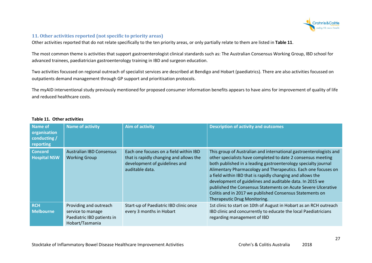

# **11. Other activities reported (not specific to priority areas)**

Other activities reported that do not relate specifically to the ten priority areas, or only partially relate to them are listed in **Table 11**.

The most common theme is activities that support gastroenterologist clinical standards such as: The Australian Consensus Working Group, IBD school for advanced trainees, paediatrician gastroenterology training in IBD and surgeon education.

Two activities focussed on regional outreach of specialist services are described at Bendigo and Hobart (paediatrics). There are also activities focussed on outpatients demand management through GP support and prioritisation protocols.

The myAID interventional study previously mentioned for proposed consumer information benefits appears to have aims for improvement of quality of life and reduced healthcare costs.

| Name of<br>organisation<br>conducting /<br>reporting | <b>Name of activity</b>                                                                      | <b>Aim of activity</b>                                                                                                                | <b>Description of activity and outcomes</b>                                                                                                                                                                                                                                                                                                                                                                                                                                                                                                                  |
|------------------------------------------------------|----------------------------------------------------------------------------------------------|---------------------------------------------------------------------------------------------------------------------------------------|--------------------------------------------------------------------------------------------------------------------------------------------------------------------------------------------------------------------------------------------------------------------------------------------------------------------------------------------------------------------------------------------------------------------------------------------------------------------------------------------------------------------------------------------------------------|
| <b>Concord</b><br><b>Hospital NSW</b>                | <b>Australian IBD Consensus</b><br><b>Working Group</b>                                      | Each one focuses on a field within IBD<br>that is rapidly changing and allows the<br>development of guidelines and<br>auditable data. | This group of Australian and international gastroenterologists and<br>other specialists have completed to date 2 consensus meeting<br>both published in a leading gastroenterology specialty journal<br>Alimentary Pharmacology and Therapeutics. Each one focuses on<br>a field within IBD that is rapidly changing and allows the<br>development of guidelines and auditable data. In 2015 we<br>published the Consensus Statements on Acute Severe Ulcerative<br>Colitis and in 2017 we published Consensus Statements on<br>Therapeutic Drug Monitoring. |
| <b>RCH</b><br><b>Melbourne</b>                       | Providing and outreach<br>service to manage<br>Paediatric IBD patients in<br>Hobart/Tasmania | Start-up of Paediatric IBD clinic once<br>every 3 months in Hobart                                                                    | 1st clinic to start on 10th of August in Hobart as an RCH outreach<br>IBD clinic and concurrently to educate the local Paediatricians<br>regarding management of IBD                                                                                                                                                                                                                                                                                                                                                                                         |

#### **Table 11. Other activities**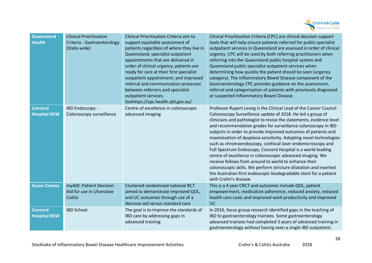

| Queensland<br><b>Health</b>           | <b>Clinical Prioritisation</b><br>Criteria - Gastroenterology<br>(State-wide) | Clinical Prioritisation Criteria aim to<br>support equitable assessment of<br>patients regardless of where they live in<br>Queensland; specialist outpatient<br>appointments that are delivered in<br>order of clinical urgency; patients are<br>ready for care at their first specialist<br>outpatient appointment; and improved<br>referral and communication processes<br>between referrers and specialist<br>outpatient services.<br>Seehttps://cpc.health.qld.gov.au/ | Clinical Prioritisation Criteria (CPC) are clinical decision support<br>tools that will help ensure patients referred for public specialist<br>outpatient services in Queensland are assessed in order of clinical<br>urgency. CPC will be used by both referring practitioners when<br>referring into the Queensland public hospital system and<br>Queensland public specialist outpatient services when<br>determining how quickly the patient should be seen (urgency<br>category). The Inflammatory Bowel Disease component of the<br>Gastroenterology CPC provides guidance on the assessment,<br>referral and categorisation of patients with previously diagnosed<br>or suspected Inflammatory Bowel Disease.                                                                                                                   |
|---------------------------------------|-------------------------------------------------------------------------------|----------------------------------------------------------------------------------------------------------------------------------------------------------------------------------------------------------------------------------------------------------------------------------------------------------------------------------------------------------------------------------------------------------------------------------------------------------------------------|----------------------------------------------------------------------------------------------------------------------------------------------------------------------------------------------------------------------------------------------------------------------------------------------------------------------------------------------------------------------------------------------------------------------------------------------------------------------------------------------------------------------------------------------------------------------------------------------------------------------------------------------------------------------------------------------------------------------------------------------------------------------------------------------------------------------------------------|
| <b>Concord</b><br><b>Hospital NSW</b> | IBD Endoscopy -<br>Colonoscopy surveillance                                   | Centre of excellence in colonoscopic<br>advanced imaging                                                                                                                                                                                                                                                                                                                                                                                                                   | Professor Rupert Leong is the Clinical Lead of the Cancer Council<br>Colonoscopy Surveillance update of 2018. He led a group of<br>clinicians and pathologist to revise the statements, evidence level<br>and recommendation grades for surveillance colonoscopy in IBD<br>subjects in order to provide improved outcomes of patients and<br>maximisation of dysplasia sensitivity. Adopting novel technologies<br>such as chromoendoscopy, confocal laser endomicroscopy and<br>Full Spectrum Endoscopy, Concord Hospital is a world-leading<br>centre of excellence in colonoscopic advanced imaging. We<br>receive fellows from around to world to enhance their<br>colonoscopic skills. We perform stricture dilatation and inserted<br>the Australian-first endoscopic biodegradable stent for a patient<br>with Crohn's disease. |
| <b>Susan Connor</b>                   | myAID: Patient Decision<br>Aid for use in Ulcerative<br>Colitis               | Clustered randomised national RCT<br>aimed to demonstrate improved QOL,<br>and UC outcomes through use of a<br>decision aid versus standard care                                                                                                                                                                                                                                                                                                                           | This is a 4 year CRCT and outcomes include QOL, patient<br>empowerment, medication adherence, reduced anxiety, reduced<br>health care costs and improved work productivity and improved<br><b>UC</b>                                                                                                                                                                                                                                                                                                                                                                                                                                                                                                                                                                                                                                   |
| <b>Concord</b><br><b>Hospital NSW</b> | <b>IBD School</b>                                                             | The goal is to improve the standards of<br>IBD care by addressing gaps in<br>advanced training                                                                                                                                                                                                                                                                                                                                                                             | In 2016, focus group research identified gaps in the teaching of<br>IBD to gastroenterology trainees. Some gastroenterology<br>advanced trainees had completed 3 years of advanced training in<br>gastroenterology without having seen a single IBD outpatient.                                                                                                                                                                                                                                                                                                                                                                                                                                                                                                                                                                        |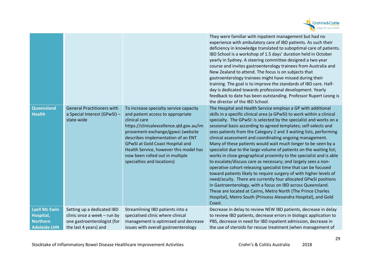

|                                                                             |                                                                                                                   |                                                                                                                                                                                                                                                                                                                                                                           | They were familiar with inpatient management but had no<br>experience with ambulatory care of IBD patients. As such their<br>deficiency in knowledge translated to suboptimal care of patients.<br>IBD School is a workshop of 1.5 days' duration held in October<br>yearly in Sydney. A steering committee designed a two year<br>course and invites gastroenterology trainees from Australia and<br>New Zealand to attend. The focus is on subjects that<br>gastroenterology trainees might have missed during their<br>training. The goal is to improve the standards of IBD care. Half-<br>day is dedicated towards professional development. Yearly<br>feedback to date has been outstanding. Professor Rupert Leong is<br>the director of the IBD School.                                                                                                                                                                                                                                                                                                                                                         |
|-----------------------------------------------------------------------------|-------------------------------------------------------------------------------------------------------------------|---------------------------------------------------------------------------------------------------------------------------------------------------------------------------------------------------------------------------------------------------------------------------------------------------------------------------------------------------------------------------|-------------------------------------------------------------------------------------------------------------------------------------------------------------------------------------------------------------------------------------------------------------------------------------------------------------------------------------------------------------------------------------------------------------------------------------------------------------------------------------------------------------------------------------------------------------------------------------------------------------------------------------------------------------------------------------------------------------------------------------------------------------------------------------------------------------------------------------------------------------------------------------------------------------------------------------------------------------------------------------------------------------------------------------------------------------------------------------------------------------------------|
| Queensland<br><b>Health</b>                                                 | <b>General Practitioners with</b><br>a Special Interest (GPwSI) -<br>state-wide                                   | To increase specialty service capacity<br>and patient access to appropriate<br>clinical care<br>https://clinicalexcellence.qld.gov.au/im<br>provement-exchange/gpwsi (website<br>describes implementation of an ENT<br><b>GPwSI at Gold Coast Hospital and</b><br>Health Service, however this model has<br>now been rolled out in multiple<br>specialties and locations) | The Hospital and Health Service employs a GP with additional<br>skills in a specific clinical area (a GPwSI) to work within a clinical<br>specialty. The GPwSI: is selected by the specialist and works on a<br>sessional basis according to agreed templates; self-selects and<br>sees patients from the Category 2 and 3 waiting lists, performing<br>clinical assessment and coordinating ongoing management.<br>Many of these patients would wait much longer to be seen by a<br>specialist due to the large volume of patients on the waiting list;<br>works in close geographical proximity to the specialist and is able<br>to escalate/discuss care as necessary; and largely sees a non-<br>operative cohort releasing specialist time that can be focused<br>toward patients likely to require surgery of with higher levels of<br>need/acuity. There are currently four allocated GPwSI positions<br>in Gastroenterology, with a focus on IBD across Queensland.<br>These are located at Cairns, Metro North (The Prince Charles<br>Hospital), Metro South (Princess Alexandra Hospital), and Gold<br>Coast. |
| <b>Lyell Mc Ewin</b><br>Hospital,<br><b>Northern</b><br><b>Adelaide LHN</b> | Setting up a dedicated IBD<br>clinic once a week - run by<br>one gastroenterologist (for<br>the last 4 years) and | Streamlining IBD patients into a<br>specialised clinic where clinical<br>management is optimised and decrease<br>issues with overall gastroenterology                                                                                                                                                                                                                     | Decrease in delay to review NEW IBD patients, decrease in delay<br>to review IBD patients, decrease errors in biologic application to<br>PBS, decrease in need for IBD inpatient admission, decrease in<br>the use of steroids for rescue treatment (when management of                                                                                                                                                                                                                                                                                                                                                                                                                                                                                                                                                                                                                                                                                                                                                                                                                                                 |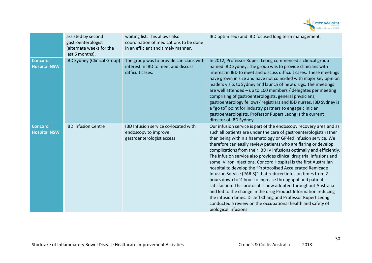

|                                       | assisted by second<br>gastroenterologist<br>(alternate weeks for the<br>last 6 months). | waiting list. This allows also<br>coordination of medications to be done<br>in an efficient and timely manner. | IBD optimised) and IBD focused long term management.                                                                                                                                                                                                                                                                                                                                                                                                                                                                                                                                                                                                                                                                                                                                                                                                                                                                                                                                      |
|---------------------------------------|-----------------------------------------------------------------------------------------|----------------------------------------------------------------------------------------------------------------|-------------------------------------------------------------------------------------------------------------------------------------------------------------------------------------------------------------------------------------------------------------------------------------------------------------------------------------------------------------------------------------------------------------------------------------------------------------------------------------------------------------------------------------------------------------------------------------------------------------------------------------------------------------------------------------------------------------------------------------------------------------------------------------------------------------------------------------------------------------------------------------------------------------------------------------------------------------------------------------------|
| <b>Concord</b><br><b>Hospital NSW</b> | IBD Sydney (Clinical Group)                                                             | The group was to provide clinicians with<br>interest in IBD to meet and discuss<br>difficult cases.            | In 2012, Professor Rupert Leong commenced a clinical group<br>named IBD Sydney. The group was to provide clinicians with<br>interest in IBD to meet and discuss difficult cases. These meetings<br>have grown in size and have not coincided with major key opinion<br>leaders visits to Sydney and launch of new drugs. The meetings<br>are well attended - up to 100 members / delegates per meeting<br>comprising of gastroenterologists, general physicians,<br>gastroenterology fellows/ registrars and IBD nurses. IBD Sydney is<br>a "go to" point for industry partners to engage clinician<br>gastroenterologists. Professor Rupert Leong is the current<br>director of IBD Sydney.                                                                                                                                                                                                                                                                                              |
| <b>Concord</b><br><b>Hospital NSW</b> | <b>IBD Infusion Centre</b>                                                              | IBD Infusion service co-located with<br>endoscopy to improve<br>gastroenterologist access                      | Our infusion service is part of the endoscopy recovery area and as<br>such all patients are under the care of gastroenterologists rather<br>than being within a haematology or GP-led infusion service. We<br>therefore can easily review patients who are flaring or develop<br>complications from their IBD IV infusions optimally and efficiently.<br>The infusion service also provides clinical drug trial infusions and<br>some IV iron injections. Concord Hospital is the first Australian<br>hospital to develop the "Protocolised Accelerated Remicade<br>Infusion Service (PARIS)" that reduced infusion times from 2<br>hours down to 1/2 hour to increase throughput and patient<br>satisfaction. This protocol is now adopted throughout Australia<br>and led to the change in the drug Product Information reducing<br>the infusion times. Dr Jeff Chang and Professor Rupert Leong<br>conducted a review on the occupational health and safety of<br>biological infusions |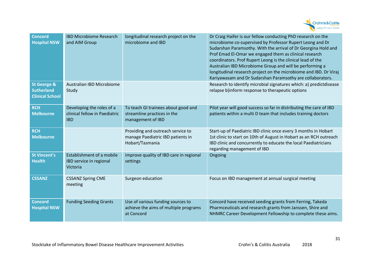

| <b>Concord</b><br><b>Hospital NSW</b>                                 | <b>IBD Microbiome Research</b><br>and AIM Group                          | longitudinal research project on the<br>microbiome and IBD                                | Dr Craig Haifer is our fellow conducting PhD research on the<br>microbiome co-supervised by Professor Rupert Leong and Dr<br>Sudarshan Paramsothy. With the arrival of Dr Georgina Hold and<br>Prof Emad El-Omar we engaged them as clinical research<br>coordinators. Prof Rupert Leong is the clinical lead of the<br>Australian IBD Microbiome Group and will be performing a<br>longitudinal research project on the microbiome and IBD. Dr Viraj<br>Kariyawasam and Dr Sudarshan Paramsothy are collaborators. |
|-----------------------------------------------------------------------|--------------------------------------------------------------------------|-------------------------------------------------------------------------------------------|---------------------------------------------------------------------------------------------------------------------------------------------------------------------------------------------------------------------------------------------------------------------------------------------------------------------------------------------------------------------------------------------------------------------------------------------------------------------------------------------------------------------|
| <b>St George &amp;</b><br><b>Sutherland</b><br><b>Clinical School</b> | <b>Australian IBD Microbiome</b><br>Study                                |                                                                                           | Research to identify microbial signatures which: a) predictdisease<br>relapse b)inform response to therapeutic options                                                                                                                                                                                                                                                                                                                                                                                              |
| <b>RCH</b><br><b>Melbourne</b>                                        | Developing the roles of a<br>clinical fellow in Paediatric<br><b>IBD</b> | To teach GI trainees about good and<br>streamline practices in the<br>management of IBD   | Pilot year will good success so far in distributing the care of IBD<br>patients within a multi D team that includes training doctors                                                                                                                                                                                                                                                                                                                                                                                |
| <b>RCH</b><br><b>Melbourne</b>                                        |                                                                          | Providing and outreach service to<br>manage Paediatric IBD patients in<br>Hobart/Tasmania | Start-up of Paediatric IBD clinic once every 3 months in Hobart<br>1st clinic to start on 10th of August in Hobart as an RCH outreach<br>IBD clinic and concurrently to educate the local Paediatricians<br>regarding management of IBD                                                                                                                                                                                                                                                                             |
| <b>St Vincent's</b><br><b>Health</b>                                  | Establishment of a mobile<br>IBD service in regional<br>Victoria         | improve quality of IBD care in regional<br>settings                                       | Ongoing                                                                                                                                                                                                                                                                                                                                                                                                                                                                                                             |
| <b>CSSANZ</b>                                                         | <b>CSSANZ Spring CME</b><br>meeting                                      | Surgeon education                                                                         | Focus on IBD management at annual surgical meeting                                                                                                                                                                                                                                                                                                                                                                                                                                                                  |
| <b>Concord</b><br><b>Hospital NSW</b>                                 | <b>Funding Seeding Grants</b>                                            | Use of various funding sources to<br>achieve the aims of multiple programs<br>at Concord  | Concord have received seeding grants from Ferring, Takeda<br>Pharmceuticals and research grants from Janssen, Shire and<br>NHMRC Career Development Fellowship to complete these aims.                                                                                                                                                                                                                                                                                                                              |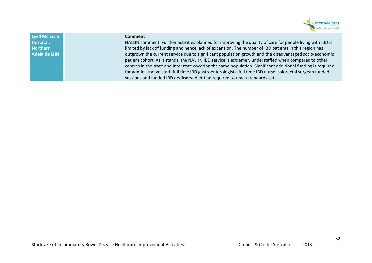

**Lyell Mc Ewin Hospital, Northern Adelaide LHN** 

#### **Comment**

NALHN comment: Further activities planned for improving the quality of care for people living with IBD is limited by lack of funding and hence lack of expansion. The number of IBD patients in this region has outgrown the current service due to significant population growth and the disadvantaged socio-economicpatient cohort. As it stands, the NALHN IBD service is extremely understaffed when compared to other centres in the state and interstate covering the same population. Significant additional funding is required for administrative staff, full time IBD gastroenterologists, full time IBD nurse, colorectal surgeon funded sessions and funded IBD dedicated dietitian required to reach standards set.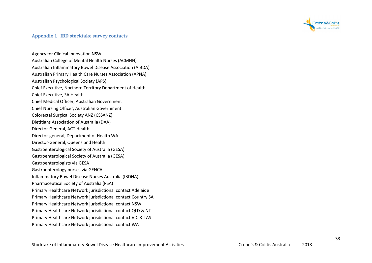

#### **Appendix 1 IBD stocktake survey contacts**

Agency for Clinical Innovation NSW Australian College of Mental Health Nurses (ACMHN) Australian Inflammatory Bowel Disease Association (AIBDA) Australian Primary Health Care Nurses Association (APNA) Australian Psychological Society (APS) Chief Executive, Northern Territory Department of Health Chief Executive, SA Health Chief Medical Officer, Australian Government Chief Nursing Officer, Australian Government Colorectal Surgical Society ANZ (CSSANZ) Dietitians Association of Australia (DAA) Director-General, ACT Health Director-general, Department of Health WA Director-General, Queensland Health Gastroenterological Society of Australia (GESA) Gastroenterological Society of Australia (GESA) Gastroenterologists via GESA Gastroenterology nurses via GENCA Inflammatory Bowel Disease Nurses Australia (IBDNA)Pharmaceutical Society of Australia (PSA) Primary Healthcare Network jurisdictional contact Adelaide Primary Healthcare Network jurisdictional contact Country SA Primary Healthcare Network jurisdictional contact NSW Primary Healthcare Network jurisdictional contact QLD & NT Primary Healthcare Network jurisdictional contact VIC & TAS Primary Healthcare Network jurisdictional contact WA